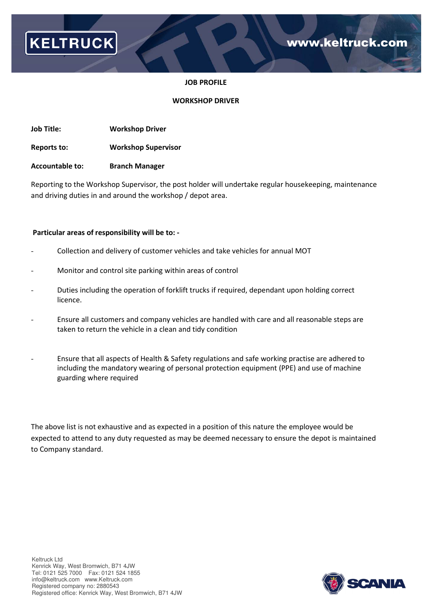

### **JOB PROFILE**

### **WORKSHOP DRIVER**

**Job Title: Workshop Driver** 

**Reports to: Workshop Supervisor** 

**Accountable to: Branch Manager** 

Reporting to the Workshop Supervisor, the post holder will undertake regular housekeeping, maintenance and driving duties in and around the workshop / depot area.

#### **Particular areas of responsibility will be to: -**

- Collection and delivery of customer vehicles and take vehicles for annual MOT
- Monitor and control site parking within areas of control
- Duties including the operation of forklift trucks if required, dependant upon holding correct licence.
- Ensure all customers and company vehicles are handled with care and all reasonable steps are taken to return the vehicle in a clean and tidy condition
- Ensure that all aspects of Health & Safety regulations and safe working practise are adhered to including the mandatory wearing of personal protection equipment (PPE) and use of machine guarding where required

The above list is not exhaustive and as expected in a position of this nature the employee would be expected to attend to any duty requested as may be deemed necessary to ensure the depot is maintained to Company standard.